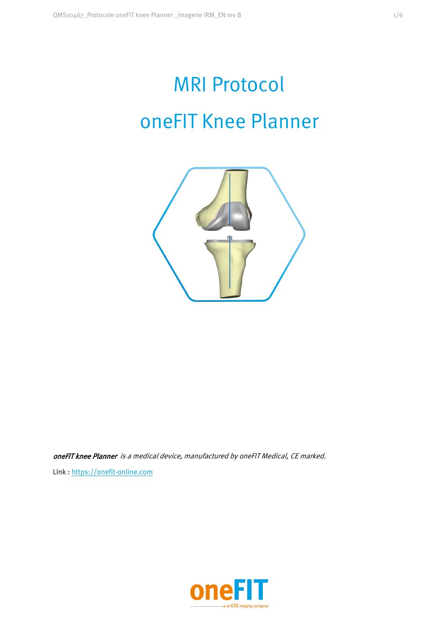# MRI Protocol oneFIT Knee Planner



oneFIT knee Planner is a medical device, manufactured by oneFIT Medical, CE marked. Link : https://onefit-online.com

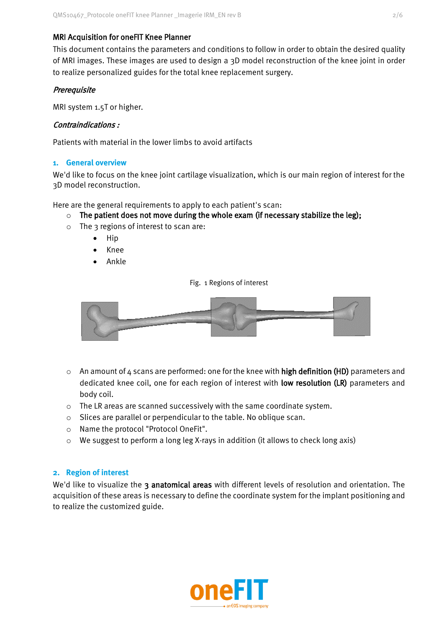## MRI Acquisition for oneFIT Knee Planner

This document contains the parameters and conditions to follow in order to obtain the desired quality of MRI images. These images are used to design a 3D model reconstruction of the knee joint in order to realize personalized guides for the total knee replacement surgery.

## **Prerequisite**

MRI system 1.5T or higher.

## Contraindications :

Patients with material in the lower limbs to avoid artifacts

## **1. General overview**

We'd like to focus on the knee joint cartilage visualization, which is our main region of interest for the 3D model reconstruction.

Here are the general requirements to apply to each patient's scan:

- $\circ$  The patient does not move during the whole exam (if necessary stabilize the leg);
- o The 3 regions of interest to scan are:
	- Hip
	- Knee
	- Ankle

Fig. 1 Regions of interest



- $\circ$  An amount of 4 scans are performed: one for the knee with **high definition (HD)** parameters and dedicated knee coil, one for each region of interest with low resolution (LR) parameters and body coil.
- o The LR areas are scanned successively with the same coordinate system.
- o Slices are parallel or perpendicular to the table. No oblique scan.
- o Name the protocol "Protocol OneFit".
- o We suggest to perform a long leg X-rays in addition (it allows to check long axis)

## **2. Region of interest**

We'd like to visualize the 3 anatomical areas with different levels of resolution and orientation. The acquisition of these areas is necessary to define the coordinate system for the implant positioning and to realize the customized guide.

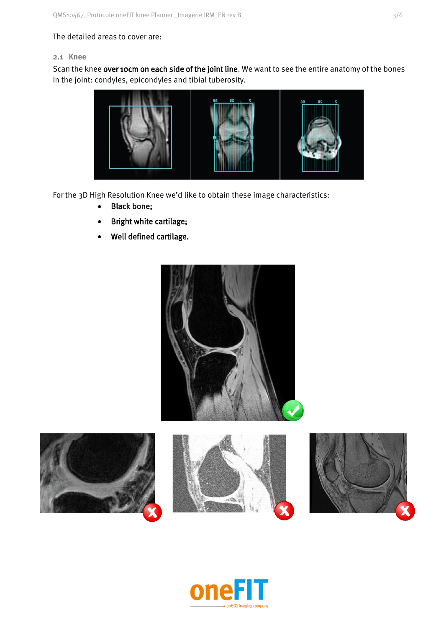## The detailed areas to cover are:

## **2.1 Knee**

Scan the knee over 10cm on each side of the joint line. We want to see the entire anatomy of the bones in the joint: condyles, epicondyles and tibial tuberosity.



For the 3D High Resolution Knee we'd like to obtain these image characteristics:

- Black bone;
- Bright white cartilage;
- Well defined cartilage.









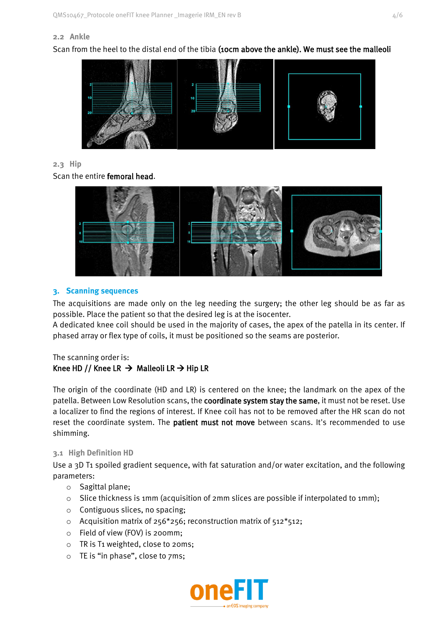## **2.2 Ankle**

Scan from the heel to the distal end of the tibia (10cm above the ankle). We must see the malleoli



## **2.3 Hip**

Scan the entire femoral head.



## **3. Scanning sequences**

The acquisitions are made only on the leg needing the surgery; the other leg should be as far as possible. Place the patient so that the desired leg is at the isocenter.

A dedicated knee coil should be used in the majority of cases, the apex of the patella in its center. If phased array or flex type of coils, it must be positioned so the seams are posterior.

## The scanning order is: Knee HD // Knee LR  $\rightarrow$  Malleoli LR  $\rightarrow$  Hip LR

The origin of the coordinate (HD and LR) is centered on the knee; the landmark on the apex of the patella. Between Low Resolution scans, the coordinate system stay the same, it must not be reset. Use a localizer to find the regions of interest. If Knee coil has not to be removed after the HR scan do not reset the coordinate system. The **patient must not move** between scans. It's recommended to use shimming.

## **3.1 High Definition HD**

Use a 3D T1 spoiled gradient sequence, with fat saturation and/or water excitation, and the following parameters:

- o Sagittal plane;
- $\circ$  Slice thickness is 1mm (acquisition of 2mm slices are possible if interpolated to 1mm);
- o Contiguous slices, no spacing;
- $\circ$  Acquisition matrix of 256\*256; reconstruction matrix of 512\*512;
- o Field of view (FOV) is 200mm;
- o TR is T1 weighted, close to 20ms;
- o TE is "in phase", close to 7ms;

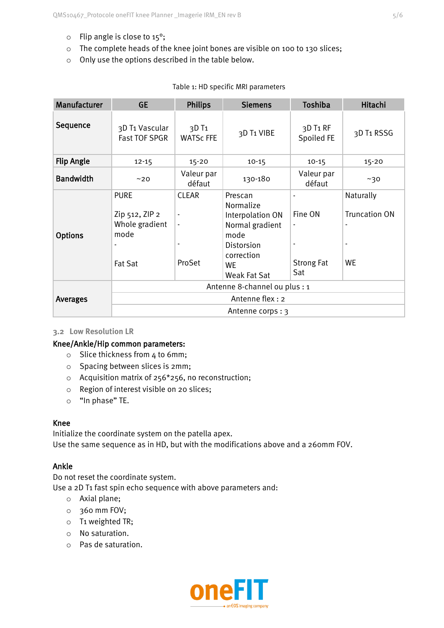- o Flip angle is close to 15°;
- o The complete heads of the knee joint bones are visible on 100 to 130 slices;
- o Only use the options described in the table below.

| Manufacturer      | <b>GE</b>                                                                 | <b>Philips</b>                                                                         | <b>Siemens</b>                                                                                                               | Toshiba                                               | Hitachi                                                                    |  |  |
|-------------------|---------------------------------------------------------------------------|----------------------------------------------------------------------------------------|------------------------------------------------------------------------------------------------------------------------------|-------------------------------------------------------|----------------------------------------------------------------------------|--|--|
| Sequence          | 3D T1 Vascular<br><b>Fast TOF SPGR</b>                                    | 3D T <sub>1</sub><br><b>WATSc FFE</b>                                                  | 3D T1 VIBE                                                                                                                   | 3D T <sub>1</sub> RF<br>Spoiled FE                    | 3D T1 RSSG                                                                 |  |  |
| <b>Flip Angle</b> | $12 - 15$                                                                 | $15 - 20$                                                                              | $10 - 15$                                                                                                                    | $10 - 15$                                             | $15 - 20$                                                                  |  |  |
| <b>Bandwidth</b>  | ~20                                                                       | Valeur par<br>défaut                                                                   | 130-180                                                                                                                      | Valeur par<br>défaut                                  | ~10                                                                        |  |  |
| <b>Options</b>    | <b>PURE</b><br>Zip 512, ZIP 2<br>Whole gradient<br>mode<br><b>Fat Sat</b> | <b>CLEAR</b><br>$\blacksquare$<br>$\overline{\phantom{a}}$<br>$\blacksquare$<br>ProSet | Prescan<br>Normalize<br>Interpolation ON<br>Normal gradient<br>mode<br>Distorsion<br>correction<br><b>WE</b><br>Weak Fat Sat | Fine ON<br>$\blacksquare$<br><b>Strong Fat</b><br>Sat | Naturally<br><b>Truncation ON</b><br>$\overline{\phantom{a}}$<br><b>WE</b> |  |  |
| <b>Averages</b>   | Antenne 8-channel ou plus : 1<br>Antenne flex: 2                          |                                                                                        |                                                                                                                              |                                                       |                                                                            |  |  |
|                   | Antenne corps: 3                                                          |                                                                                        |                                                                                                                              |                                                       |                                                                            |  |  |

## Table 1: HD specific MRI parameters

## **3.2 Low Resolution LR**

## Knee/Ankle/Hip common parameters:

- o Slice thickness from 4 to 6mm;
- o Spacing between slices is 2mm;
- o Acquisition matrix of 256\*256, no reconstruction;
- o Region of interest visible on 20 slices;
- o "In phase" TE.

## Knee

Initialize the coordinate system on the patella apex. Use the same sequence as in HD, but with the modifications above and a 260mm FOV.

## Ankle

Do not reset the coordinate system.

Use a 2D T1 fast spin echo sequence with above parameters and:

- o Axial plane;
- o 360 mm FOV;
- o T1 weighted TR;
- o No saturation.
- o Pas de saturation.